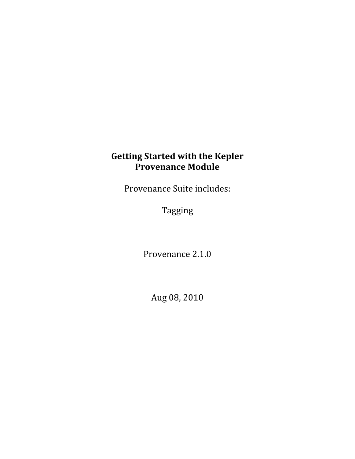# **Getting Started with the Kepler Provenance Module**

Provenance Suite includes:

Tagging

Provenance 2.1.0

Aug 08, 2010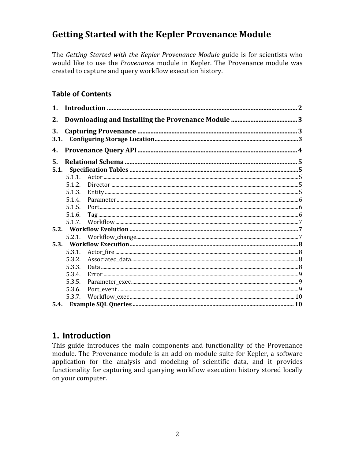# **Getting Started with the Kepler Provenance Module**

The Getting Started with the Kepler Provenance Module guide is for scientists who would like to use the Provenance module in Kepler. The Provenance module was created to capture and query workflow execution history.

### **Table of Contents**

| $\mathbf{1}$ . |        |  |  |  |
|----------------|--------|--|--|--|
| 2.             |        |  |  |  |
| 3.<br>3.1.     |        |  |  |  |
| 4.             |        |  |  |  |
| 5.<br>5.1.     |        |  |  |  |
|                | 5.1.1. |  |  |  |
|                | 5.1.2. |  |  |  |
|                | 5.1.3. |  |  |  |
|                | 5.1.4. |  |  |  |
|                | 5.1.5. |  |  |  |
|                | 5.1.6. |  |  |  |
|                | 5.1.7  |  |  |  |
|                |        |  |  |  |
|                | 5.2.1. |  |  |  |
| 5.3.           |        |  |  |  |
|                | 5.3.1. |  |  |  |
|                | 5.3.2. |  |  |  |
|                | 5.3.3. |  |  |  |
|                | 5.3.4. |  |  |  |
|                | 5.3.5. |  |  |  |
|                | 5.3.6. |  |  |  |
|                | 5.3.7. |  |  |  |
| 5.4.           |        |  |  |  |

## 1. Introduction

This guide introduces the main components and functionality of the Provenance module. The Provenance module is an add-on module suite for Kepler, a software application for the analysis and modeling of scientific data, and it provides functionality for capturing and querying workflow execution history stored locally on your computer.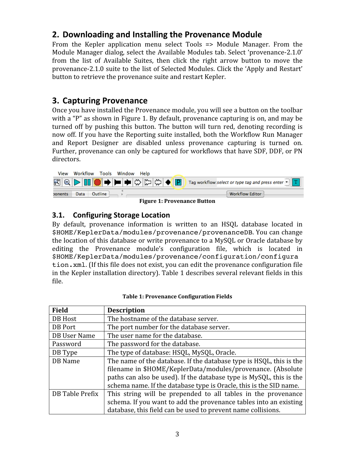# **2. Downloading
and
Installing
the
Provenance
Module**

From the Kepler application menu select Tools => Module Manager. From the Module Manager dialog, select the Available Modules tab. Select 'provenance-2.1.0' from the list of Available Suites, then click the right arrow button to move the provenance‐2.1.0 suite to the list of Selected Modules. Click the 'Apply and Restart' button to retrieve the provenance suite and restart Kepler.

# **3. Capturing
Provenance**

Once you have installed the Provenance module, you will see a button on the toolbar with a "P" as shown in Figure 1. By default, provenance capturing is on, and may be turned off by pushing this button. The button will turn red, denoting recording is now off. If you have the Reporting suite installed, both the Workflow Run Manager and Report Designer are disabled unless provenance capturing is turned on. Further, provenance can only be captured for workflows that have SDF, DDF, or PN directors.



**Figure 1: Provenance Button**

## **3.1. Configuring
Storage
Location**

By default, provenance information is written to an HSQL database located in \$HOME/KeplerData/modules/provenance/provenanceDB. You can change the location of this database or write provenance to a MySQL or Oracle database by editing the Provenance module's configuration file, which is located in \$HOME/KeplerData/modules/provenance/configuration/configura tion.xml. (If this file does not exist, you can edit the provenance configuration file in the Kepler installation directory). Table 1 describes several relevant fields in this file.

| <b>Field</b>                                                                                                                                  | <b>Description</b>                                                |  |  |  |
|-----------------------------------------------------------------------------------------------------------------------------------------------|-------------------------------------------------------------------|--|--|--|
| DB Host                                                                                                                                       | The hostname of the database server.                              |  |  |  |
| DB Port                                                                                                                                       | The port number for the database server.                          |  |  |  |
| DB User Name                                                                                                                                  | The user name for the database.                                   |  |  |  |
| Password                                                                                                                                      | The password for the database.                                    |  |  |  |
| The type of database: HSQL, MySQL, Oracle.<br>DB Type                                                                                         |                                                                   |  |  |  |
| The name of the database. If the database type is HSQL, this is the<br>DB Name<br>filename in \$HOME/KeplerData/modules/provenance. (Absolute |                                                                   |  |  |  |
| paths can also be used). If the database type is MySQL, this is the<br>schema name. If the database type is Oracle, this is the SID name.     |                                                                   |  |  |  |
| DB Table Prefix                                                                                                                               | This string will be prepended to all tables in the provenance     |  |  |  |
|                                                                                                                                               | schema. If you want to add the provenance tables into an existing |  |  |  |
|                                                                                                                                               | database, this field can be used to prevent name collisions.      |  |  |  |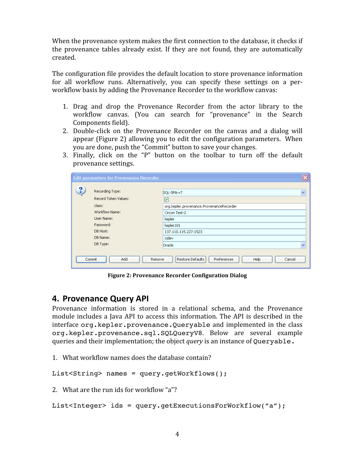When the provenance system makes the first connection to the database, it checks if the provenance tables already exist. If they are not found, they are automatically created.

The configuration file provides the default location to store provenance information for all workflow runs. Alternatively, you can specify these settings on a perworkflow basis by adding the Provenance Recorder to the workflow canvas:

- 1. Drag and drop the Provenance Recorder from the actor library to the workflow canvas. (You can search for "provenance" in the Search Components field).
- 2. Double‐click on the Provenance Recorder on the canvas and a dialog will appear (Figure 2) allowing you to edit the configuration parameters. When you are done, push the "Commit" button to save your changes.
- 3. Finally, click on the "P" button on the toolbar to turn off the default provenance settings.

|            | <b>Edit parameters for Provenance Recorder</b> |                                                   | $\overline{\times}$ |
|------------|------------------------------------------------|---------------------------------------------------|---------------------|
| 9          |                                                |                                                   |                     |
|            | Recording Type:                                | SQL-SPA-v7                                        | $\checkmark$        |
|            | Record Token Values:                           | ∣V∣                                               |                     |
|            | class:                                         | org.kepler.provenance.ProvenanceRecorder          |                     |
|            | Workflow Name:                                 | Circon Test-2                                     |                     |
| User Name: |                                                | kepler                                            |                     |
|            | Password:                                      | kepler101                                         |                     |
|            | DB Host:                                       | 137.110.115.227:1523                              |                     |
|            | DB Name:                                       | cjdev                                             |                     |
|            | DB Type:                                       | Oracle                                            | $\checkmark$        |
|            |                                                |                                                   |                     |
|            | Add<br>Commit<br>Remove                        | Restore Defaults<br>Preferences<br>Help<br>Cancel |                     |

**Figure 2: Provenance Recorder Configuration Dialog**

## **4. Provenance
Query
API**

Provenance information is stored in a relational schema, and the Provenance module includes a Java API to access this information. The API is described in the interface org. kepler.provenance. Queryable and implemented in the class org.kepler.provenance.sql.SQLQueryV8. Below are several example queries and their implementation; the object *query* is an instance of Queryable.

1. What workflow names does the database contain?

```
List<String> names = query.getWorkflows();
```
2. What are the run ids for workflow "a"?

```
List<Integer> ids = query.getExecutionsForWorkflow("a");
```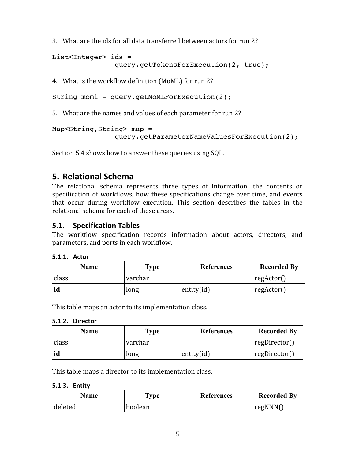3. What are the ids for all data transferred between actors for run 2?

```
List<Integer> ids = 
               query.getTokensForExecution(2, true);
```
4. What is the workflow definition (MoML) for run 2?

```
String moml = query.getMoMLForExecution(2);
```
5. What are the names and values of each parameter for run 2?

```
Map<String,String> map = 
               query.getParameterNameValuesForExecution(2);
```
Section 5.4 shows how to answer these queries using SQL.

# **5. Relational
Schema**

The relational schema represents three types of information: the contents or specification of workflows, how these specifications change over time, and events that occur during workflow execution. This section describes the tables in the relational schema for each of these areas.

### **5.1. Specification Tables**

The workflow specification records information about actors, directors, and parameters, and ports in each workflow.

| <b>5.1.1. Actor</b> |
|---------------------|
|                     |

| Name  | Type    | <b>References</b> | <b>Recorded By</b> |
|-------|---------|-------------------|--------------------|
| class | varchar |                   | $ reg $ regard ()  |
|       | long    | entity $(id)$     | reg                |

This table maps an actor to its implementation class.

#### **5.1.2. Director**

| <b>Name</b> | <b>Type</b> | <b>References</b> | <b>Recorded By</b> |
|-------------|-------------|-------------------|--------------------|
| class       | varchar     |                   | regDirectory()     |
|             | long        | entity $(id)$     | $ $ regDirector()  |

This table maps a director to its implementation class.

#### **5.1.3. Entity**

| Name    | Type    | <b>References</b> | <b>Recorded By</b> |
|---------|---------|-------------------|--------------------|
| deleted | boolean |                   | $_1$ regNNN $_1$   |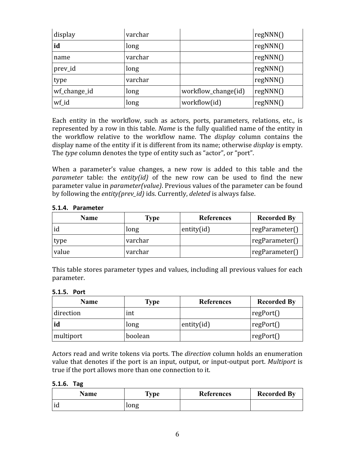| display      | varchar |                     | regNNN() |
|--------------|---------|---------------------|----------|
| id           | long    |                     | regNNN() |
| name         | varchar |                     | regNNN() |
| prev_id      | long    |                     | regNNN() |
| type         | varchar |                     | regNNN() |
| wf_change_id | long    | workflow_change(id) | regNNN() |
| wf_id        | long    | workflow(id)        | regNNN() |

Each entity in the workflow, such as actors, ports, parameters, relations, etc., is represented by a row in this table. *Name* is the fully qualified name of the entity in the workflow relative to the workflow name. The *display* column contains the display name of the entity if it is different from its name; otherwise *display* is empty. The *type* column denotes the type of entity such as "actor", or "port".

When a parameter's value changes, a new row is added to this table and the *parameter* table: the *entity(id)* of the new row can be used to find the new parameter value in *parameter(value)*. Previous values of the parameter can be found by following the *entity(prev\_id)* ids. Currently, *deleted* is always false.

| <b>Name</b> | Type    | References    | <b>Recorded By</b> |
|-------------|---------|---------------|--------------------|
|             | long    | entity $(id)$ | regParameter()     |
| type        | varchar |               | regParameter()     |
| value       | varchar |               | regParameter()     |

#### **5.1.4. Parameter**

This table stores parameter types and values, including all previous values for each parameter.

#### **5.1.5. Port**

| <b>Name</b> | <b>Type</b> | <b>References</b> | <b>Recorded By</b> |
|-------------|-------------|-------------------|--------------------|
| direction   | int         |                   | regPort()          |
| id          | long        | entity $(id)$     | regPort()          |
| multiport   | boolean     |                   | regPort()          |

Actors read and write tokens via ports. The *direction* column holds an enumeration value that denotes if the port is an input, output, or input‐output port. *Multiport* is true if the port allows more than one connection to it.

#### **5.1.6. Tag**

| Name | <b>Type</b> | <b>References</b> | <b>Recorded By</b> |
|------|-------------|-------------------|--------------------|
| iu   | long        |                   |                    |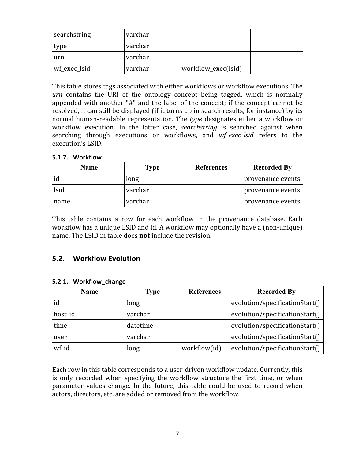| searchstring | varchar |                     |  |
|--------------|---------|---------------------|--|
| type         | varchar |                     |  |
| urn          | varchar |                     |  |
| wf_exec_lsid | varchar | workflow_exec(lsid) |  |

This table stores tags associated with either workflows or workflow executions. The *urn*  contains the URI of the ontology concept being tagged, which is normally appended with another "#" and the label of the concept; if the concept cannot be resolved, it can still be displayed (if it turns up in search results, for instance) by its normal human‐readable representation. The *type* designates either a workflow or workflow execution. In the latter case, *searchstring* is searched against when searching through executions or workflows, and *wf\_exec\_lsid* refers to the execution's LSID.

#### **5.1.7. Workflow**

| <b>Name</b> | Type    | <b>References</b> | <b>Recorded By</b> |
|-------------|---------|-------------------|--------------------|
| id          | long    |                   | provenance events  |
| lsid        | varchar |                   | provenance events  |
| name        | varchar |                   | provenance events  |

This table contains a row for each workflow in the provenance database. Each workflow has a unique LSID and id. A workflow may optionally have a (non‐unique) name. The LSID in table does **not** include the revision.

#### **5.2. Workflow
Evolution**

| <b>Name</b> | <b>Type</b> | <b>References</b> | <b>Recorded By</b>             |  |
|-------------|-------------|-------------------|--------------------------------|--|
| id          | long        |                   | evolution/specificationStart() |  |
| host_id     | varchar     |                   | evolution/specificationStart() |  |
| time        | datetime    |                   | evolution/specificationStart() |  |
| user        | varchar     |                   | evolution/specificationStart() |  |
| wf_id       | long        | workflow(id)      | evolution/specificationStart() |  |

#### **5.2.1. Workflow\_change**

Each row in this table corresponds to a user‐driven workflow update. Currently, this is only recorded when specifying the workflow structure the first time, or when parameter values change. In the future, this table could be used to record when actors, directors, etc. are added or removed from the workflow.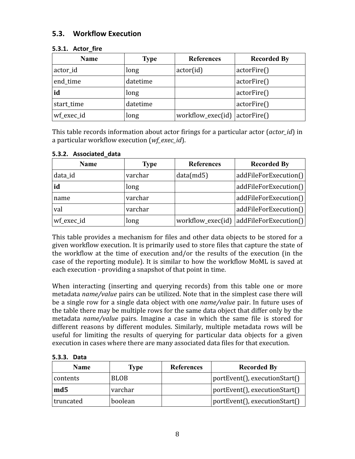### **5.3. Workflow
Execution**

| <b>Name</b> | <b>Type</b> | <b>References</b> | <b>Recorded By</b> |
|-------------|-------------|-------------------|--------------------|
| actor_id    | long        | actor(id)         | actorFire()        |
| end_time    | datetime    |                   | actorFire()        |
| id          | long        |                   | actorFire()        |
| start_time  | datetime    |                   | actorFire()        |
| wf_exec_id  | long        | workflow_exec(id) | actorFire()        |

#### **5.3.1. Actor\_fire**

This table records information about actor firings for a particular actor (*actor\_id*) in a particular workflow execution (*wf\_exec\_id*).

| <b>Name</b> | <b>Type</b> | <b>References</b> | <b>Recorded By</b>    |
|-------------|-------------|-------------------|-----------------------|
| data_id     | varchar     | data(md5)         | addFileForExecution() |
| id          | long        |                   | addFileForExecution() |
| name        | varchar     |                   | addFileForExecution() |
| val         | varchar     |                   | addFileForExecution() |
| wf_exec_id  | long        | workflow_exec(id) | addFileForExecution() |

#### **5.3.2. Associated\_data**

This table provides a mechanism for files and other data objects to be stored for a given workflow execution. It is primarily used to store files that capture the state of the workflow at the time of execution and/or the results of the execution (in the case of the reporting module). It is similar to how the workflow MoML is saved at each execution ‐ providing a snapshot of that point in time.

When interacting (inserting and querying records) from this table one or more metadata *name/value* pairs can be utilized. Note that in the simplest case there will be a single row for a single data object with one *name/value* pair. In future uses of the table there may be multiple rows for the same data object that differ only by the metadata *name/value* pairs. Imagine a case in which the same file is stored for different reasons by different modules. Similarly, multiple metadata rows will be useful for limiting the results of querying for particular data objects for a given execution in cases where there are many associated data files for that execution.

| <b>Name</b>     | Type        | <b>References</b> | <b>Recorded By</b>            |
|-----------------|-------------|-------------------|-------------------------------|
| contents        | <b>BLOB</b> |                   | portEvent(), executionStart() |
| md <sub>5</sub> | varchar     |                   | portEvent(), executionStart() |
| truncated       | boolean     |                   | portEvent(), executionStart() |

**5.3.3. Data**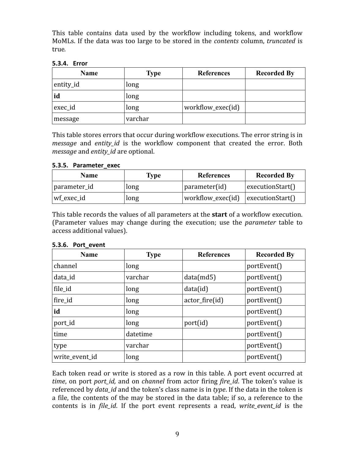This table contains data used by the workflow including tokens, and workflow MoMLs. If the data was too large to be stored in the *contents* column, *truncated* is true*.*

#### **5.3.4. Error**

| <b>Name</b> | <b>Type</b> | <b>References</b> | <b>Recorded By</b> |
|-------------|-------------|-------------------|--------------------|
| entity_id   | long        |                   |                    |
| id          | long        |                   |                    |
| exec_id     | long        | workflow_exec(id) |                    |
| message     | varchar     |                   |                    |

This table stores errors that occur during workflow executions. The error string is in *message* and *entity\_id* is the workflow component that created the error. Both *message* and *entity\_id* are optional.

#### **5.3.5. Parameter\_exec**

| <b>Name</b>  | Type | <b>References</b>                                      | <b>Recorded By</b> |
|--------------|------|--------------------------------------------------------|--------------------|
| parameter_id | long | $\Box$ parameter(id)                                   | executionStart()   |
| wf exec id   | long | $\forall$ workflow_exec(id) $\exists$ executionStart() |                    |

This table records the values of all parameters at the **start** of a workflow execution. (Parameter values may change during the execution; use the *parameter* table to access additional values).

| <b>Name</b>    | <b>Type</b> | <b>References</b> | <b>Recorded By</b> |
|----------------|-------------|-------------------|--------------------|
| channel        | long        |                   | portEvent()        |
| data_id        | varchar     | data(md5)         | portEvent()        |
| file_id        | long        | data(id)          | portEvent()        |
| fire_id        | long        | $actor_fire(id)$  | portEvent()        |
| id             | long        |                   | portEvent()        |
| port_id        | long        | port(id)          | portEvent()        |
| time           | datetime    |                   | portEvent()        |
| type           | varchar     |                   | portEvent()        |
| write event id | long        |                   | portEvent()        |

#### **5.3.6. Port\_event**

Each token read or write is stored as a row in this table. A port event occurred at *time*, on port *port\_id,* and on *channel* from actor firing *fire\_id*. The token's value is referenced by *data\_id* and the token's class name is in *type*. If the data in the token is a file, the contents of the may be stored in the data table; if so, a reference to the contents is in *file id*. If the port event represents a read, write event id is the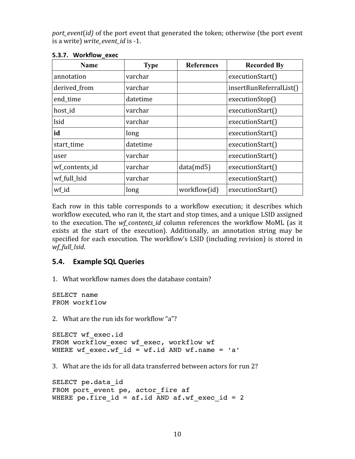*port event*(*id*) of the port event that generated the token; otherwise (the port event is a write) *write\_event\_id* is ‐1.

| <b>Name</b>    | <b>Type</b> | <b>References</b> | <b>Recorded By</b>      |
|----------------|-------------|-------------------|-------------------------|
| annotation     | varchar     |                   | executionStart()        |
| derived_from   | varchar     |                   | insertRunReferralList() |
| end_time       | datetime    |                   | executionStop()         |
| host_id        | varchar     |                   | executionStart()        |
| lsid           | varchar     |                   | executionStart()        |
| id             | long        |                   | executionStart()        |
| start time     | datetime    |                   | executionStart()        |
| user           | varchar     |                   | executionStart()        |
| wf contents id | varchar     | data(md5)         | executionStart()        |
| wf full Isid   | varchar     |                   | executionStart()        |
| wf_id          | long        | workflow(id)      | executionStart()        |

#### **5.3.7. Workflow\_exec**

Each row in this table corresponds to a workflow execution; it describes which workflow executed, who ran it, the start and stop times, and a unique LSID assigned to the execution. The *wf\_contents\_id* column references the workflow MoML (as it exists at the start of the execution). Additionally, an annotation string may be specified for each execution. The workflow's LSID (including revision) is stored in *wf\_full\_lsid*.

## **5.4. Example
SQL
Queries**

1. What workflow names does the database contain?

SELECT name FROM workflow

2. What are the run ids for workflow "a"?

SELECT wf exec.id FROM workflow exec wf exec, workflow wf WHERE wf exec.wf id = wf.id AND wf.name = 'a'

3. What are the ids for all data transferred between actors for run 2?

```
SELECT pe.data_id
FROM port event pe, actor fire af
WHERE pe. \overline{f}ire_id = af.id AND af.wf_exec_id = 2
```